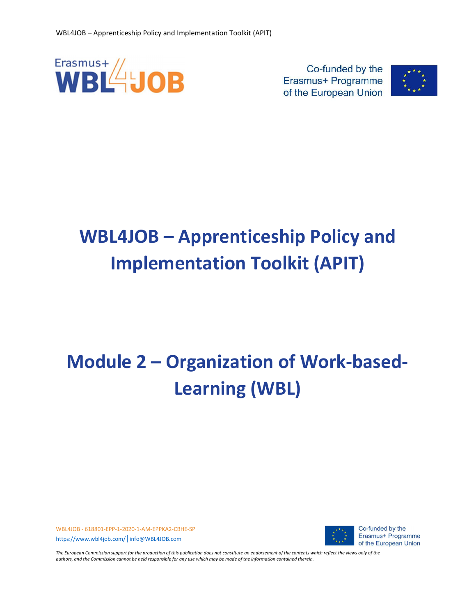

Co-funded by the Erasmus+ Programme of the European Union



# WBL4JOB – Apprenticeship Policy and Implementation Toolkit (APIT)

# Module 2 – Organization of Work-based-Learning (WBL)

WBL4JOB - 618801-EPP-1-2020-1-AM-EPPKA2-CBHE-SP https://www.wbl4job.com/|info@WBL4JOB.com



Co-funded by the Erasmus+ Programme of the European Union

The European Commission support for the production of this publication does not constitute an endorsement of the contents which reflect the views only of the authors, and the Commission cannot be held responsible for any use which may be made of the information contained therein.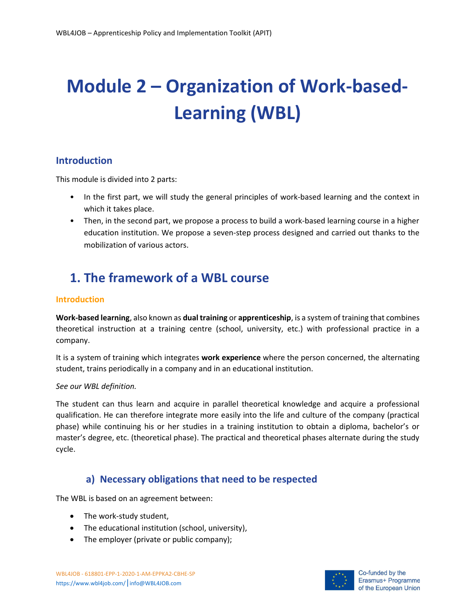# Module 2 – Organization of Work-based-Learning (WBL)

#### Introduction

This module is divided into 2 parts:

- In the first part, we will study the general principles of work-based learning and the context in which it takes place.
- Then, in the second part, we propose a process to build a work-based learning course in a higher education institution. We propose a seven-step process designed and carried out thanks to the mobilization of various actors.

# 1. The framework of a WBL course

#### Introduction

Work-based learning, also known as dual training or apprenticeship, is a system of training that combines theoretical instruction at a training centre (school, university, etc.) with professional practice in a company.

It is a system of training which integrates work experience where the person concerned, the alternating student, trains periodically in a company and in an educational institution.

#### See our WBL definition.

The student can thus learn and acquire in parallel theoretical knowledge and acquire a professional qualification. He can therefore integrate more easily into the life and culture of the company (practical phase) while continuing his or her studies in a training institution to obtain a diploma, bachelor's or master's degree, etc. (theoretical phase). The practical and theoretical phases alternate during the study cycle.

#### a) Necessary obligations that need to be respected

The WBL is based on an agreement between:

- The work-study student,
- The educational institution (school, university),
- The employer (private or public company);

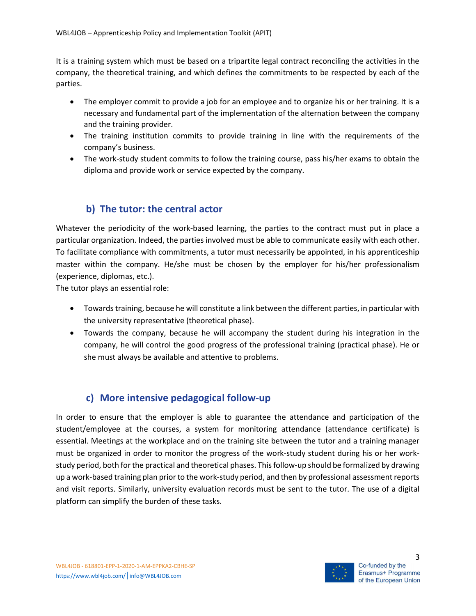It is a training system which must be based on a tripartite legal contract reconciling the activities in the company, the theoretical training, and which defines the commitments to be respected by each of the parties.

- The employer commit to provide a job for an employee and to organize his or her training. It is a necessary and fundamental part of the implementation of the alternation between the company and the training provider.
- The training institution commits to provide training in line with the requirements of the company's business.
- The work-study student commits to follow the training course, pass his/her exams to obtain the diploma and provide work or service expected by the company.

## b) The tutor: the central actor

Whatever the periodicity of the work-based learning, the parties to the contract must put in place a particular organization. Indeed, the parties involved must be able to communicate easily with each other. To facilitate compliance with commitments, a tutor must necessarily be appointed, in his apprenticeship master within the company. He/she must be chosen by the employer for his/her professionalism (experience, diplomas, etc.).

The tutor plays an essential role:

- Towards training, because he will constitute a link between the different parties, in particular with the university representative (theoretical phase).
- Towards the company, because he will accompany the student during his integration in the company, he will control the good progress of the professional training (practical phase). He or she must always be available and attentive to problems.

## c) More intensive pedagogical follow-up

In order to ensure that the employer is able to guarantee the attendance and participation of the student/employee at the courses, a system for monitoring attendance (attendance certificate) is essential. Meetings at the workplace and on the training site between the tutor and a training manager must be organized in order to monitor the progress of the work-study student during his or her workstudy period, both for the practical and theoretical phases. This follow-up should be formalized by drawing up a work-based training plan prior to the work-study period, and then by professional assessment reports and visit reports. Similarly, university evaluation records must be sent to the tutor. The use of a digital platform can simplify the burden of these tasks.

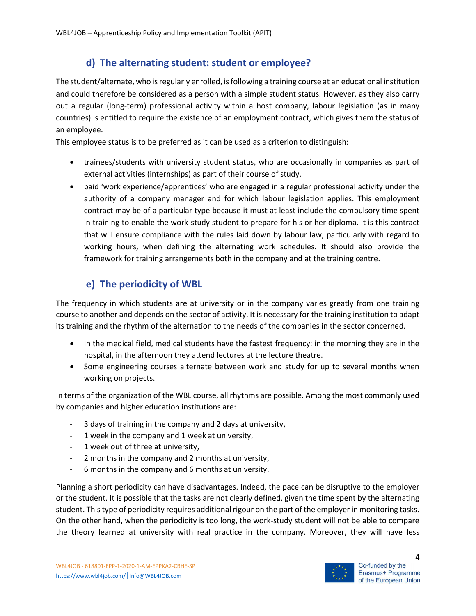## d) The alternating student: student or employee?

The student/alternate, who is regularly enrolled, is following a training course at an educational institution and could therefore be considered as a person with a simple student status. However, as they also carry out a regular (long-term) professional activity within a host company, labour legislation (as in many countries) is entitled to require the existence of an employment contract, which gives them the status of an employee.

This employee status is to be preferred as it can be used as a criterion to distinguish:

- trainees/students with university student status, who are occasionally in companies as part of external activities (internships) as part of their course of study.
- paid 'work experience/apprentices' who are engaged in a regular professional activity under the authority of a company manager and for which labour legislation applies. This employment contract may be of a particular type because it must at least include the compulsory time spent in training to enable the work-study student to prepare for his or her diploma. It is this contract that will ensure compliance with the rules laid down by labour law, particularly with regard to working hours, when defining the alternating work schedules. It should also provide the framework for training arrangements both in the company and at the training centre.

## e) The periodicity of WBL

The frequency in which students are at university or in the company varies greatly from one training course to another and depends on the sector of activity. It is necessary for the training institution to adapt its training and the rhythm of the alternation to the needs of the companies in the sector concerned.

- In the medical field, medical students have the fastest frequency: in the morning they are in the hospital, in the afternoon they attend lectures at the lecture theatre.
- Some engineering courses alternate between work and study for up to several months when working on projects.

In terms of the organization of the WBL course, all rhythms are possible. Among the most commonly used by companies and higher education institutions are:

- 3 days of training in the company and 2 days at university,
- 1 week in the company and 1 week at university,
- 1 week out of three at university,
- 2 months in the company and 2 months at university,
- 6 months in the company and 6 months at university.

Planning a short periodicity can have disadvantages. Indeed, the pace can be disruptive to the employer or the student. It is possible that the tasks are not clearly defined, given the time spent by the alternating student. This type of periodicity requires additional rigour on the part of the employer in monitoring tasks. On the other hand, when the periodicity is too long, the work-study student will not be able to compare the theory learned at university with real practice in the company. Moreover, they will have less

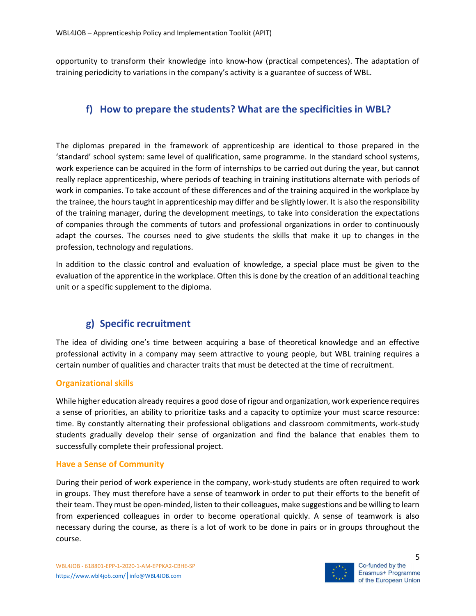opportunity to transform their knowledge into know-how (practical competences). The adaptation of training periodicity to variations in the company's activity is a guarantee of success of WBL.

## f) How to prepare the students? What are the specificities in WBL?

The diplomas prepared in the framework of apprenticeship are identical to those prepared in the 'standard' school system: same level of qualification, same programme. In the standard school systems, work experience can be acquired in the form of internships to be carried out during the year, but cannot really replace apprenticeship, where periods of teaching in training institutions alternate with periods of work in companies. To take account of these differences and of the training acquired in the workplace by the trainee, the hours taught in apprenticeship may differ and be slightly lower. It is also the responsibility of the training manager, during the development meetings, to take into consideration the expectations of companies through the comments of tutors and professional organizations in order to continuously adapt the courses. The courses need to give students the skills that make it up to changes in the profession, technology and regulations.

In addition to the classic control and evaluation of knowledge, a special place must be given to the evaluation of the apprentice in the workplace. Often this is done by the creation of an additional teaching unit or a specific supplement to the diploma.

## g) Specific recruitment

The idea of dividing one's time between acquiring a base of theoretical knowledge and an effective professional activity in a company may seem attractive to young people, but WBL training requires a certain number of qualities and character traits that must be detected at the time of recruitment.

#### Organizational skills

While higher education already requires a good dose of rigour and organization, work experience requires a sense of priorities, an ability to prioritize tasks and a capacity to optimize your must scarce resource: time. By constantly alternating their professional obligations and classroom commitments, work-study students gradually develop their sense of organization and find the balance that enables them to successfully complete their professional project.

#### Have a Sense of Community

During their period of work experience in the company, work-study students are often required to work in groups. They must therefore have a sense of teamwork in order to put their efforts to the benefit of their team. They must be open-minded, listen to their colleagues, make suggestions and be willing to learn from experienced colleagues in order to become operational quickly. A sense of teamwork is also necessary during the course, as there is a lot of work to be done in pairs or in groups throughout the course.

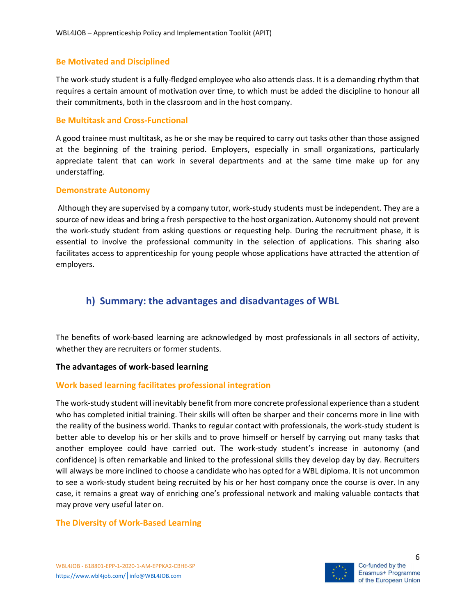#### Be Motivated and Disciplined

The work-study student is a fully-fledged employee who also attends class. It is a demanding rhythm that requires a certain amount of motivation over time, to which must be added the discipline to honour all their commitments, both in the classroom and in the host company.

#### Be Multitask and Cross-Functional

A good trainee must multitask, as he or she may be required to carry out tasks other than those assigned at the beginning of the training period. Employers, especially in small organizations, particularly appreciate talent that can work in several departments and at the same time make up for any understaffing.

#### Demonstrate Autonomy

 Although they are supervised by a company tutor, work-study students must be independent. They are a source of new ideas and bring a fresh perspective to the host organization. Autonomy should not prevent the work-study student from asking questions or requesting help. During the recruitment phase, it is essential to involve the professional community in the selection of applications. This sharing also facilitates access to apprenticeship for young people whose applications have attracted the attention of employers.

## h) Summary: the advantages and disadvantages of WBL

The benefits of work-based learning are acknowledged by most professionals in all sectors of activity, whether they are recruiters or former students.

#### The advantages of work-based learning

#### Work based learning facilitates professional integration

The work-study student will inevitably benefit from more concrete professional experience than a student who has completed initial training. Their skills will often be sharper and their concerns more in line with the reality of the business world. Thanks to regular contact with professionals, the work-study student is better able to develop his or her skills and to prove himself or herself by carrying out many tasks that another employee could have carried out. The work-study student's increase in autonomy (and confidence) is often remarkable and linked to the professional skills they develop day by day. Recruiters will always be more inclined to choose a candidate who has opted for a WBL diploma. It is not uncommon to see a work-study student being recruited by his or her host company once the course is over. In any case, it remains a great way of enriching one's professional network and making valuable contacts that may prove very useful later on.

#### The Diversity of Work-Based Learning

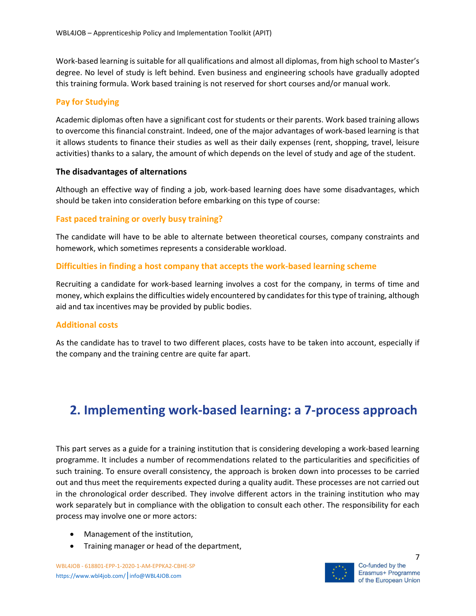Work-based learning is suitable for all qualifications and almost all diplomas, from high school to Master's degree. No level of study is left behind. Even business and engineering schools have gradually adopted this training formula. Work based training is not reserved for short courses and/or manual work.

#### Pay for Studying

Academic diplomas often have a significant cost for students or their parents. Work based training allows to overcome this financial constraint. Indeed, one of the major advantages of work-based learning is that it allows students to finance their studies as well as their daily expenses (rent, shopping, travel, leisure activities) thanks to a salary, the amount of which depends on the level of study and age of the student.

#### The disadvantages of alternations

Although an effective way of finding a job, work-based learning does have some disadvantages, which should be taken into consideration before embarking on this type of course:

#### Fast paced training or overly busy training?

The candidate will have to be able to alternate between theoretical courses, company constraints and homework, which sometimes represents a considerable workload.

#### Difficulties in finding a host company that accepts the work-based learning scheme

Recruiting a candidate for work-based learning involves a cost for the company, in terms of time and money, which explains the difficulties widely encountered by candidates for this type of training, although aid and tax incentives may be provided by public bodies.

#### Additional costs

As the candidate has to travel to two different places, costs have to be taken into account, especially if the company and the training centre are quite far apart.

# 2. Implementing work-based learning: a 7-process approach

This part serves as a guide for a training institution that is considering developing a work-based learning programme. It includes a number of recommendations related to the particularities and specificities of such training. To ensure overall consistency, the approach is broken down into processes to be carried out and thus meet the requirements expected during a quality audit. These processes are not carried out in the chronological order described. They involve different actors in the training institution who may work separately but in compliance with the obligation to consult each other. The responsibility for each process may involve one or more actors:

- Management of the institution,
- Training manager or head of the department,

WBL4JOB - 618801-EPP-1-2020-1-AM-EPPKA2-CBHE-SP https://www.wbl4job.com/|info@WBL4JOB.com

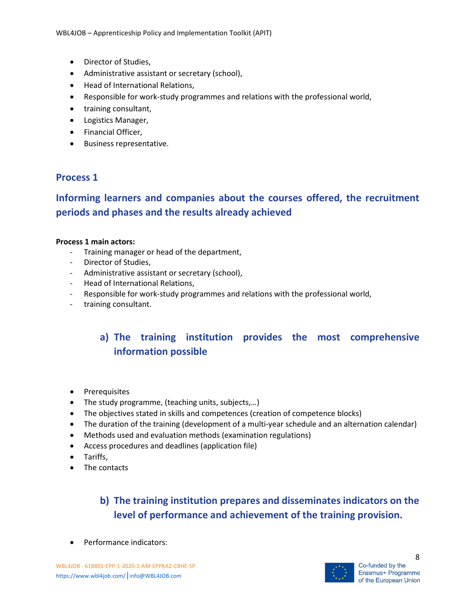- Director of Studies,
- Administrative assistant or secretary (school),
- Head of International Relations,
- Responsible for work-study programmes and relations with the professional world,
- training consultant,
- Logistics Manager,
- Financial Officer,
- **•** Business representative.

### Process 1

# Informing learners and companies about the courses offered, the recruitment periods and phases and the results already achieved

#### Process 1 main actors:

- Training manager or head of the department,
- Director of Studies,
- Administrative assistant or secretary (school),
- Head of International Relations,
- Responsible for work-study programmes and relations with the professional world,
- training consultant.

# a) The training institution provides the most comprehensive information possible

- Prerequisites
- The study programme, (teaching units, subjects,...)
- The objectives stated in skills and competences (creation of competence blocks)
- The duration of the training (development of a multi-year schedule and an alternation calendar)
- Methods used and evaluation methods (examination regulations)
- Access procedures and deadlines (application file)
- Tariffs,
- The contacts

# b) The training institution prepares and disseminates indicators on the level of performance and achievement of the training provision.

Performance indicators:

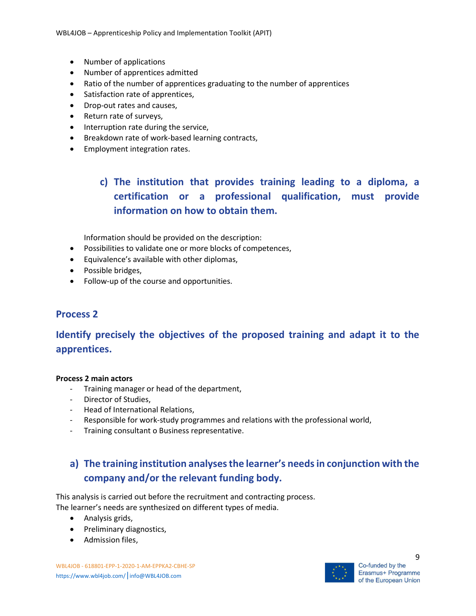- Number of applications
- Number of apprentices admitted
- Ratio of the number of apprentices graduating to the number of apprentices
- Satisfaction rate of apprentices,
- Drop-out rates and causes,
- Return rate of surveys,
- Interruption rate during the service,
- Breakdown rate of work-based learning contracts,
- **•** Employment integration rates.

# c) The institution that provides training leading to a diploma, a certification or a professional qualification, must provide information on how to obtain them.

Information should be provided on the description:

- Possibilities to validate one or more blocks of competences,
- Equivalence's available with other diplomas,
- Possible bridges,
- Follow-up of the course and opportunities.

#### Process 2

## Identify precisely the objectives of the proposed training and adapt it to the apprentices.

#### Process 2 main actors

- Training manager or head of the department,
- Director of Studies,
- Head of International Relations,
- Responsible for work-study programmes and relations with the professional world,
- Training consultant o Business representative.

# a) The training institution analyses the learner's needs in conjunction with the company and/or the relevant funding body.

This analysis is carried out before the recruitment and contracting process. The learner's needs are synthesized on different types of media.

- Analysis grids,
- Preliminary diagnostics,
- Admission files,

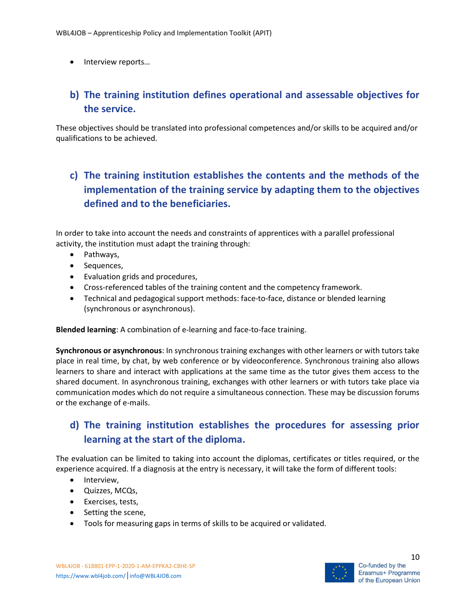• Interview reports...

# b) The training institution defines operational and assessable objectives for the service.

These objectives should be translated into professional competences and/or skills to be acquired and/or qualifications to be achieved.

# c) The training institution establishes the contents and the methods of the implementation of the training service by adapting them to the objectives defined and to the beneficiaries.

In order to take into account the needs and constraints of apprentices with a parallel professional activity, the institution must adapt the training through:

- Pathways,
- Sequences,
- Evaluation grids and procedures,
- Cross-referenced tables of the training content and the competency framework.
- Technical and pedagogical support methods: face-to-face, distance or blended learning (synchronous or asynchronous).

Blended learning: A combination of e-learning and face-to-face training.

Synchronous or asynchronous: In synchronous training exchanges with other learners or with tutors take place in real time, by chat, by web conference or by videoconference. Synchronous training also allows learners to share and interact with applications at the same time as the tutor gives them access to the shared document. In asynchronous training, exchanges with other learners or with tutors take place via communication modes which do not require a simultaneous connection. These may be discussion forums or the exchange of e-mails.

## d) The training institution establishes the procedures for assessing prior learning at the start of the diploma.

The evaluation can be limited to taking into account the diplomas, certificates or titles required, or the experience acquired. If a diagnosis at the entry is necessary, it will take the form of different tools:

- Interview,
- Quizzes, MCQs,
- Exercises, tests,
- Setting the scene,
- Tools for measuring gaps in terms of skills to be acquired or validated.



10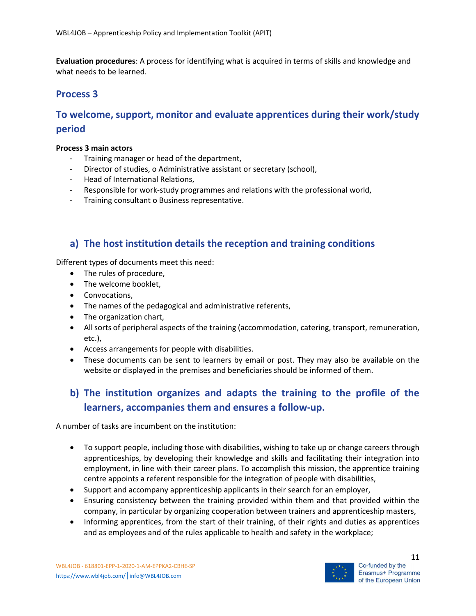Evaluation procedures: A process for identifying what is acquired in terms of skills and knowledge and what needs to be learned.

#### Process 3

## To welcome, support, monitor and evaluate apprentices during their work/study period

#### Process 3 main actors

- Training manager or head of the department,
- Director of studies, o Administrative assistant or secretary (school),
- Head of International Relations,
- Responsible for work-study programmes and relations with the professional world,
- Training consultant o Business representative.

### a) The host institution details the reception and training conditions

Different types of documents meet this need:

- The rules of procedure,
- The welcome booklet,
- **•** Convocations,
- The names of the pedagogical and administrative referents,
- The organization chart,
- All sorts of peripheral aspects of the training (accommodation, catering, transport, remuneration, etc.),
- Access arrangements for people with disabilities.
- These documents can be sent to learners by email or post. They may also be available on the website or displayed in the premises and beneficiaries should be informed of them.

## b) The institution organizes and adapts the training to the profile of the learners, accompanies them and ensures a follow-up.

A number of tasks are incumbent on the institution:

- To support people, including those with disabilities, wishing to take up or change careers through apprenticeships, by developing their knowledge and skills and facilitating their integration into employment, in line with their career plans. To accomplish this mission, the apprentice training centre appoints a referent responsible for the integration of people with disabilities,
- Support and accompany apprenticeship applicants in their search for an employer,
- Ensuring consistency between the training provided within them and that provided within the company, in particular by organizing cooperation between trainers and apprenticeship masters,
- Informing apprentices, from the start of their training, of their rights and duties as apprentices and as employees and of the rules applicable to health and safety in the workplace;



11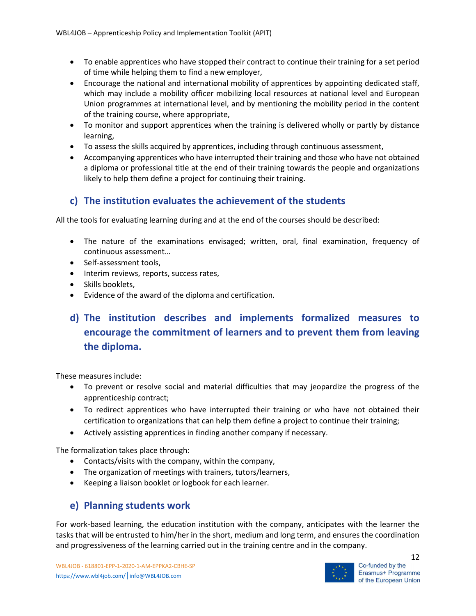- To enable apprentices who have stopped their contract to continue their training for a set period of time while helping them to find a new employer,
- Encourage the national and international mobility of apprentices by appointing dedicated staff, which may include a mobility officer mobilizing local resources at national level and European Union programmes at international level, and by mentioning the mobility period in the content of the training course, where appropriate,
- To monitor and support apprentices when the training is delivered wholly or partly by distance learning,
- To assess the skills acquired by apprentices, including through continuous assessment,
- Accompanying apprentices who have interrupted their training and those who have not obtained a diploma or professional title at the end of their training towards the people and organizations likely to help them define a project for continuing their training.

## c) The institution evaluates the achievement of the students

All the tools for evaluating learning during and at the end of the courses should be described:

- The nature of the examinations envisaged; written, oral, final examination, frequency of continuous assessment…
- Self-assessment tools,
- Interim reviews, reports, success rates,
- Skills booklets,
- Evidence of the award of the diploma and certification.

# d) The institution describes and implements formalized measures to encourage the commitment of learners and to prevent them from leaving the diploma.

These measures include:

- To prevent or resolve social and material difficulties that may jeopardize the progress of the apprenticeship contract;
- To redirect apprentices who have interrupted their training or who have not obtained their certification to organizations that can help them define a project to continue their training;
- Actively assisting apprentices in finding another company if necessary.

The formalization takes place through:

- Contacts/visits with the company, within the company,
- The organization of meetings with trainers, tutors/learners,
- Keeping a liaison booklet or logbook for each learner.

#### e) Planning students work

For work-based learning, the education institution with the company, anticipates with the learner the tasks that will be entrusted to him/her in the short, medium and long term, and ensures the coordination and progressiveness of the learning carried out in the training centre and in the company.

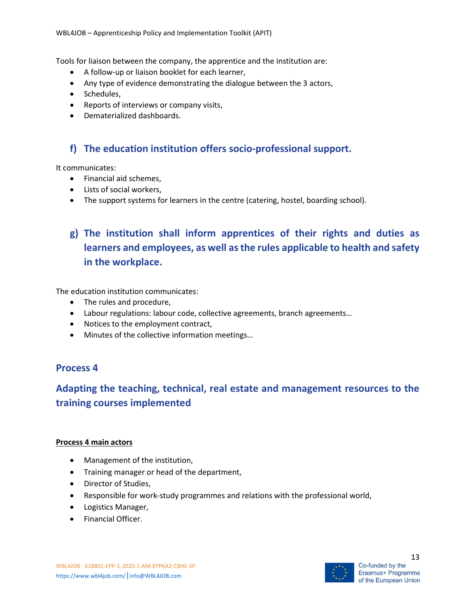Tools for liaison between the company, the apprentice and the institution are:

- A follow-up or liaison booklet for each learner,
- Any type of evidence demonstrating the dialogue between the 3 actors,
- Schedules,
- Reports of interviews or company visits,
- Dematerialized dashboards.

## f) The education institution offers socio-professional support.

It communicates:

- Financial aid schemes.
- Lists of social workers,
- The support systems for learners in the centre (catering, hostel, boarding school).

# g) The institution shall inform apprentices of their rights and duties as learners and employees, as well as the rules applicable to health and safety in the workplace.

The education institution communicates:

- The rules and procedure,
- Labour regulations: labour code, collective agreements, branch agreements…
- Notices to the employment contract,
- Minutes of the collective information meetings…

#### Process 4

## Adapting the teaching, technical, real estate and management resources to the training courses implemented

#### Process 4 main actors

- Management of the institution,
- Training manager or head of the department,
- Director of Studies,
- Responsible for work-study programmes and relations with the professional world,
- Logistics Manager,
- Financial Officer.

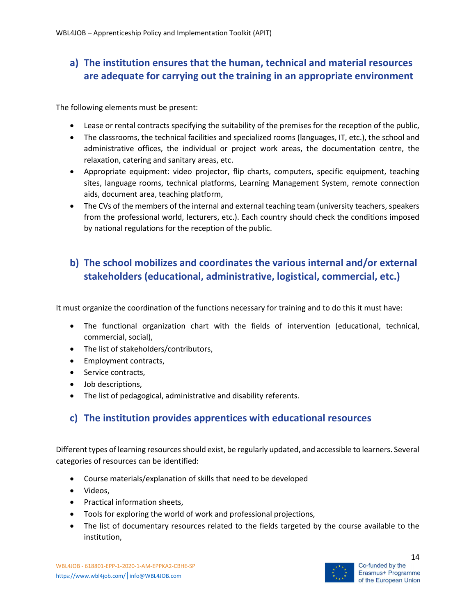# a) The institution ensures that the human, technical and material resources are adequate for carrying out the training in an appropriate environment

The following elements must be present:

- Lease or rental contracts specifying the suitability of the premises for the reception of the public,
- The classrooms, the technical facilities and specialized rooms (languages, IT, etc.), the school and administrative offices, the individual or project work areas, the documentation centre, the relaxation, catering and sanitary areas, etc.
- Appropriate equipment: video projector, flip charts, computers, specific equipment, teaching sites, language rooms, technical platforms, Learning Management System, remote connection aids, document area, teaching platform,
- The CVs of the members of the internal and external teaching team (university teachers, speakers from the professional world, lecturers, etc.). Each country should check the conditions imposed by national regulations for the reception of the public.

# b) The school mobilizes and coordinates the various internal and/or external stakeholders (educational, administrative, logistical, commercial, etc.)

It must organize the coordination of the functions necessary for training and to do this it must have:

- The functional organization chart with the fields of intervention (educational, technical, commercial, social),
- The list of stakeholders/contributors,
- Employment contracts,
- Service contracts,
- Job descriptions,
- The list of pedagogical, administrative and disability referents.

## c) The institution provides apprentices with educational resources

Different types of learning resources should exist, be regularly updated, and accessible to learners. Several categories of resources can be identified:

- Course materials/explanation of skills that need to be developed
- Videos.
- Practical information sheets,
- Tools for exploring the world of work and professional projections,
- The list of documentary resources related to the fields targeted by the course available to the institution,

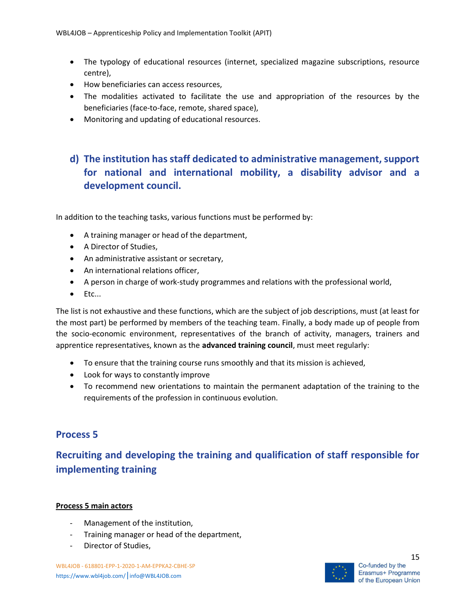- The typology of educational resources (internet, specialized magazine subscriptions, resource centre),
- How beneficiaries can access resources,
- The modalities activated to facilitate the use and appropriation of the resources by the beneficiaries (face-to-face, remote, shared space),
- Monitoring and updating of educational resources.

## d) The institution has staff dedicated to administrative management, support for national and international mobility, a disability advisor and a development council.

In addition to the teaching tasks, various functions must be performed by:

- A training manager or head of the department,
- A Director of Studies,
- An administrative assistant or secretary,
- An international relations officer,
- A person in charge of work-study programmes and relations with the professional world,
- $\bullet$  Etc...

The list is not exhaustive and these functions, which are the subject of job descriptions, must (at least for the most part) be performed by members of the teaching team. Finally, a body made up of people from the socio-economic environment, representatives of the branch of activity, managers, trainers and apprentice representatives, known as the advanced training council, must meet regularly:

- To ensure that the training course runs smoothly and that its mission is achieved,
- Look for ways to constantly improve
- To recommend new orientations to maintain the permanent adaptation of the training to the requirements of the profession in continuous evolution.

## Process 5

# Recruiting and developing the training and qualification of staff responsible for implementing training

#### Process 5 main actors

- Management of the institution,
- Training manager or head of the department,
- Director of Studies,

WBL4JOB - 618801-EPP-1-2020-1-AM-EPPKA2-CBHE-SP https://www.wbl4job.com/|info@WBL4JOB.com

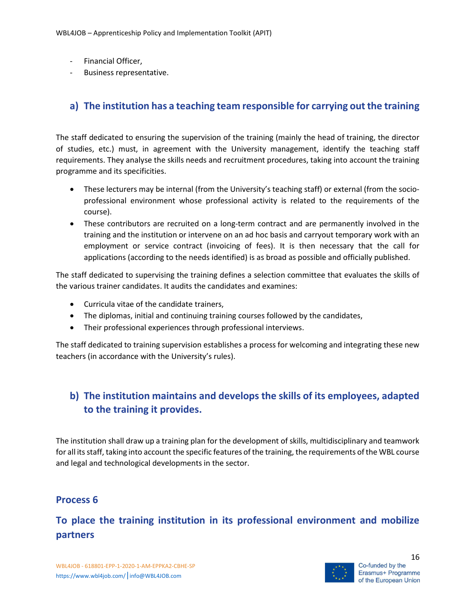- Financial Officer,
- Business representative.

### a) The institution has a teaching team responsible for carrying out the training

The staff dedicated to ensuring the supervision of the training (mainly the head of training, the director of studies, etc.) must, in agreement with the University management, identify the teaching staff requirements. They analyse the skills needs and recruitment procedures, taking into account the training programme and its specificities.

- These lecturers may be internal (from the University's teaching staff) or external (from the socioprofessional environment whose professional activity is related to the requirements of the course).
- These contributors are recruited on a long-term contract and are permanently involved in the training and the institution or intervene on an ad hoc basis and carryout temporary work with an employment or service contract (invoicing of fees). It is then necessary that the call for applications (according to the needs identified) is as broad as possible and officially published.

The staff dedicated to supervising the training defines a selection committee that evaluates the skills of the various trainer candidates. It audits the candidates and examines:

- Curricula vitae of the candidate trainers,
- The diplomas, initial and continuing training courses followed by the candidates,
- Their professional experiences through professional interviews.

The staff dedicated to training supervision establishes a process for welcoming and integrating these new teachers (in accordance with the University's rules).

## b) The institution maintains and develops the skills of its employees, adapted to the training it provides.

The institution shall draw up a training plan for the development of skills, multidisciplinary and teamwork for all its staff, taking into account the specific features of the training, the requirements of the WBL course and legal and technological developments in the sector.

#### Process 6

# To place the training institution in its professional environment and mobilize partners

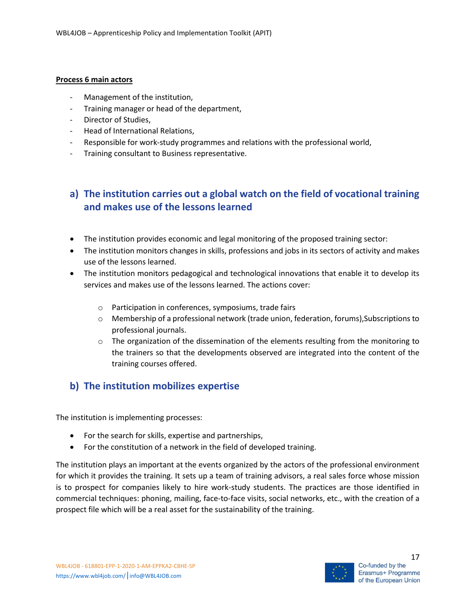#### Process 6 main actors

- Management of the institution,
- Training manager or head of the department,
- Director of Studies,
- Head of International Relations,
- Responsible for work-study programmes and relations with the professional world,
- Training consultant to Business representative.

## a) The institution carries out a global watch on the field of vocational training and makes use of the lessons learned

- The institution provides economic and legal monitoring of the proposed training sector:
- The institution monitors changes in skills, professions and jobs in its sectors of activity and makes use of the lessons learned.
- The institution monitors pedagogical and technological innovations that enable it to develop its services and makes use of the lessons learned. The actions cover:
	- o Participation in conferences, symposiums, trade fairs
	- o Membership of a professional network (trade union, federation, forums),Subscriptions to professional journals.
	- $\circ$  The organization of the dissemination of the elements resulting from the monitoring to the trainers so that the developments observed are integrated into the content of the training courses offered.

## b) The institution mobilizes expertise

The institution is implementing processes:

- For the search for skills, expertise and partnerships,
- For the constitution of a network in the field of developed training.

The institution plays an important at the events organized by the actors of the professional environment for which it provides the training. It sets up a team of training advisors, a real sales force whose mission is to prospect for companies likely to hire work-study students. The practices are those identified in commercial techniques: phoning, mailing, face-to-face visits, social networks, etc., with the creation of a prospect file which will be a real asset for the sustainability of the training.

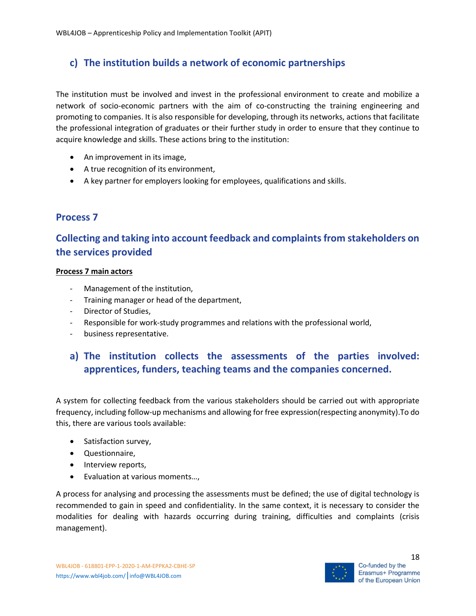## c) The institution builds a network of economic partnerships

The institution must be involved and invest in the professional environment to create and mobilize a network of socio-economic partners with the aim of co-constructing the training engineering and promoting to companies. It is also responsible for developing, through its networks, actions that facilitate the professional integration of graduates or their further study in order to ensure that they continue to acquire knowledge and skills. These actions bring to the institution:

- An improvement in its image,
- A true recognition of its environment,
- A key partner for employers looking for employees, qualifications and skills.

## Process 7

# Collecting and taking into account feedback and complaints from stakeholders on the services provided

#### Process 7 main actors

- Management of the institution,
- Training manager or head of the department,
- Director of Studies,
- Responsible for work-study programmes and relations with the professional world,
- business representative.

## a) The institution collects the assessments of the parties involved: apprentices, funders, teaching teams and the companies concerned.

A system for collecting feedback from the various stakeholders should be carried out with appropriate frequency, including follow-up mechanisms and allowing for free expression(respecting anonymity).To do this, there are various tools available:

- Satisfaction survey,
- Questionnaire,
- Interview reports,
- Evaluation at various moments…,

A process for analysing and processing the assessments must be defined; the use of digital technology is recommended to gain in speed and confidentiality. In the same context, it is necessary to consider the modalities for dealing with hazards occurring during training, difficulties and complaints (crisis management).